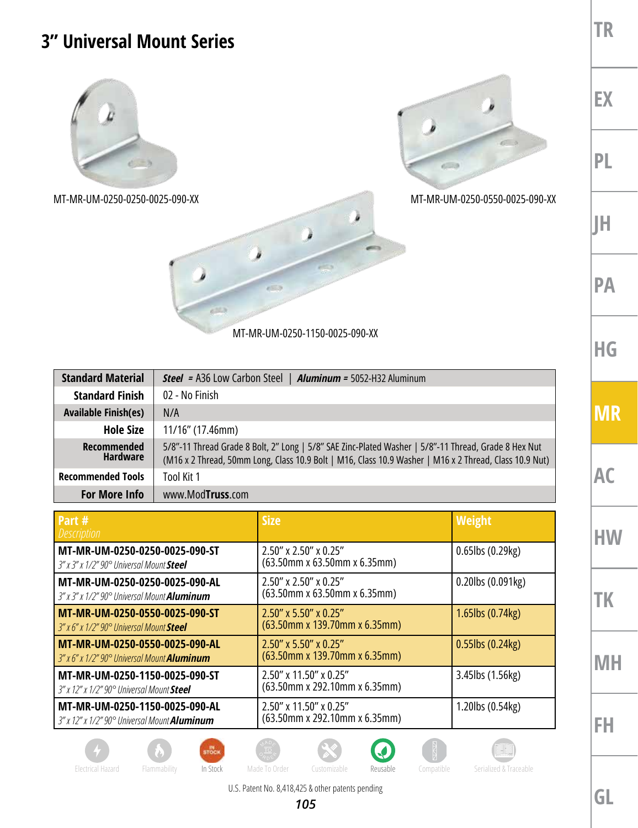## **3" Universal Mount Series**



MT-MR-UM-0250-0250-0025-090-XX MT-MR-UM-0250-0550-0025-090-XX



MT-MR-UM-0250-1150-0025-090-XX

J

 $\sim$ 

| <b>Standard Material</b>              | <b>Steel</b> = A36 Low Carbon Steel   <b>Aluminum</b> = 5052-H32 Aluminum                                                                                                                                      |  |  |
|---------------------------------------|----------------------------------------------------------------------------------------------------------------------------------------------------------------------------------------------------------------|--|--|
| <b>Standard Finish</b>                | 02 - No Finish                                                                                                                                                                                                 |  |  |
| <b>Available Finish(es)</b>           | N/A                                                                                                                                                                                                            |  |  |
| <b>Hole Size</b>                      | 11/16" (17.46mm)                                                                                                                                                                                               |  |  |
| <b>Recommended</b><br><b>Hardware</b> | 5/8"-11 Thread Grade 8 Bolt, 2" Long   5/8" SAE Zinc-Plated Washer   5/8"-11 Thread, Grade 8 Hex Nut<br>(M16 x 2 Thread, 50mm Long, Class 10.9 Bolt   M16, Class 10.9 Washer   M16 x 2 Thread, Class 10.9 Nut) |  |  |
| <b>Recommended Tools</b>              | Tool Kit 1                                                                                                                                                                                                     |  |  |
| <b>For More Info</b>                  | www.ModTruss.com                                                                                                                                                                                               |  |  |

| Part #<br><i>Description</i>                                                                     | <b>Size</b>                                                    | Weight                  |
|--------------------------------------------------------------------------------------------------|----------------------------------------------------------------|-------------------------|
| MT-MR-UM-0250-0250-0025-090-ST<br>3" x 3" x 1/2" 90° Universal Mount Steel                       | $2.50''$ x $2.50''$ x 0.25"<br>$(63.50$ mm x 63.50mm x 6.35mm) | $0.65$ lbs $(0.29$ kg)  |
| MT-MR-UM-0250-0250-0025-090-AL<br>3" x 3" x 1/2" 90° Universal Mount <b>Aluminum</b>             | 2.50" x 2.50" x 0.25"<br>(63.50mm x 63.50mm x 6.35mm)          | $0.20$ lbs $(0.091$ kg) |
| MT-MR-UM-0250-0550-0025-090-ST<br>$3''$ x 6" x 1/2" $90^{\circ}$ Universal Mount Steel           | $2.50''$ x 5.50" x 0.25"<br>$(63.50$ mm x 139.70mm x 6.35mm)   | $1.65$ lbs $(0.74$ kg)  |
| MT-MR-UM-0250-0550-0025-090-AL<br>$3''$ x 6" x 1/2" $90^{\circ}$ Universal Mount <b>Aluminum</b> | $2.50''$ x 5.50" x 0.25"<br>$(63.50$ mm x 139.70mm x 6.35mm)   | $0.55$ lbs $(0.24$ kg)  |
| MT-MR-UM-0250-1150-0025-090-ST<br>3" x 12" x 1/2" 90° Universal Mount Steel                      | $2.50''$ x 11.50" x 0.25"<br>(63.50mm x 292.10mm x 6.35mm)     | 3.45lbs (1.56kg)        |
| MT-MR-UM-0250-1150-0025-090-AL<br>3" x 12" x 1/2" 90° Universal Mount <b>Aluminum</b>            | 2.50" x 11.50" x 0.25"<br>(63.50mm x 292.10mm x 6.35mm)        | 1.20lbs (0.54kg)        |

**TK**

**MH**

**FH**













U.S. Patent No. 8,418,425 & other patents pending

**GL**

**TR**

**EX**

**PL**

**JH**

**PA**

**HG**

**MR**

**AC**

**HW**